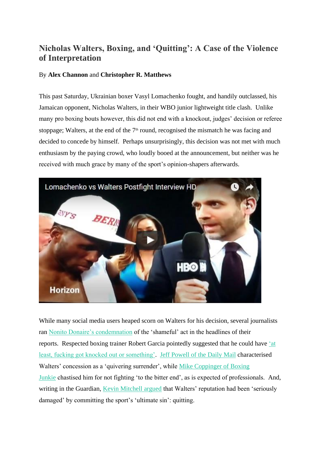# **Nicholas Walters, Boxing, and 'Quitting': A Case of the Violence of Interpretation**

## By **Alex Channon** and **Christopher R. Matthews**

This past Saturday, Ukrainian boxer Vasyl Lomachenko fought, and handily outclassed, his Jamaican opponent, Nicholas Walters, in their WBO junior lightweight title clash. Unlike many pro boxing bouts however, this did not end with a knockout, judges' decision or referee stoppage; Walters, at the end of the  $7<sup>th</sup>$  round, recognised the mismatch he was facing and decided to concede by himself. Perhaps unsurprisingly, this decision was not met with much enthusiasm by the paying crowd, who loudly booed at the announcement, but neither was he received with much grace by many of the sport's opinion-shapers afterwards.



While many social media users heaped scorn on Walters for his decision, several journalists ran [Nonito Donaire's condemnation](http://www.boxingnews24.com/2016/11/walters-quitting-shameful-lomachenko-says-donaire/) of the 'shameful' act in the headlines of their reports. Respected boxing trainer Robert Garcia pointedly suggested that he could have ['at](https://www.youtube.com/watch?v=7wAAonoGVHM)  [least, fucking got knocked out or something'.](https://www.youtube.com/watch?v=7wAAonoGVHM) [Jeff Powell of the Daily Mail](http://www.dailymail.co.uk/sport/boxing/article-3980072/Vasyl-Lomachenko-putting-frame-greatest-pound-pound-boxer-world-destruction-Nicholas-Walters.html) characterised Walters' concession as a 'quivering surrender', while [Mike Coppinger of Boxing](http://boxingjunkie.usatoday.com/2016/11/27/nicholas-walters-quits-after-vasyl-lomachenko-dishes-out-seven-round-boxing-lesson/)  [Junkie](http://boxingjunkie.usatoday.com/2016/11/27/nicholas-walters-quits-after-vasyl-lomachenko-dishes-out-seven-round-boxing-lesson/) chastised him for not fighting 'to the bitter end', as is expected of professionals. And, writing in the Guardian, [Kevin Mitchell argued](https://www.theguardian.com/sport/blog/2016/nov/28/nicholas-walters-boxings-ultimate-sin-quits-vasyl-lomachenko) that Walters' reputation had been 'seriously damaged' by committing the sport's 'ultimate sin': quitting.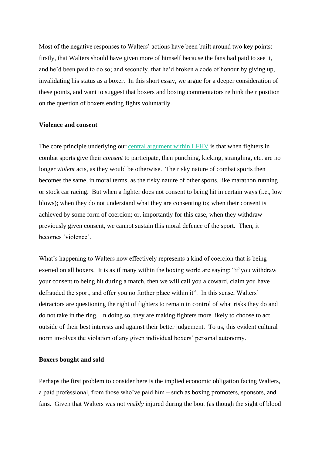Most of the negative responses to Walters' actions have been built around two key points: firstly, that Walters should have given more of himself because the fans had paid to see it, and he'd been paid to do so; and secondly, that he'd broken a code of honour by giving up, invalidating his status as a boxer. In this short essay, we argue for a deeper consideration of these points, and want to suggest that boxers and boxing commentators rethink their position on the question of boxers ending fights voluntarily.

## **Violence and consent**

The core principle underlying our [central argument within LFHV](http://www.lfhv.org/manifesto) is that when fighters in combat sports give their *consent* to participate, then punching, kicking, strangling, etc. are no longer *violent* acts, as they would be otherwise. The risky nature of combat sports then becomes the same, in moral terms, as the risky nature of other sports, like marathon running or stock car racing. But when a fighter does not consent to being hit in certain ways (i.e., low blows); when they do not understand what they are consenting to; when their consent is achieved by some form of coercion; or, importantly for this case, when they withdraw previously given consent, we cannot sustain this moral defence of the sport. Then, it becomes 'violence'.

What's happening to Walters now effectively represents a kind of coercion that is being exerted on all boxers. It is as if many within the boxing world are saying: "if you withdraw your consent to being hit during a match, then we will call you a coward, claim you have defrauded the sport, and offer you no further place within it". In this sense, Walters' detractors are questioning the right of fighters to remain in control of what risks they do and do not take in the ring. In doing so, they are making fighters more likely to choose to act outside of their best interests and against their better judgement. To us, this evident cultural norm involves the violation of any given individual boxers' personal autonomy.

### **Boxers bought and sold**

Perhaps the first problem to consider here is the implied economic obligation facing Walters, a paid professional, from those who've paid him – such as boxing promoters, sponsors, and fans. Given that Walters was not *visibly* injured during the bout (as though the sight of blood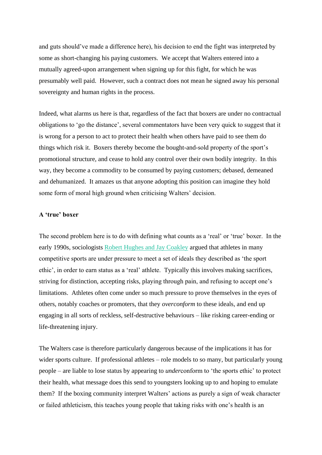and guts should've made a difference here), his decision to end the fight was interpreted by some as short-changing his paying customers. We accept that Walters entered into a mutually agreed-upon arrangement when signing up for this fight, for which he was presumably well paid. However, such a contract does not mean he signed away his personal sovereignty and human rights in the process.

Indeed, what alarms us here is that, regardless of the fact that boxers are under no contractual obligations to 'go the distance', several commentators have been very quick to suggest that it is wrong for a person to act to protect their health when others have paid to see them do things which risk it. Boxers thereby become the bought-and-sold property of the sport's promotional structure, and cease to hold any control over their own bodily integrity. In this way, they become a commodity to be consumed by paying customers; debased, demeaned and dehumanized. It amazes us that anyone adopting this position can imagine they hold some form of moral high ground when criticising Walters' decision.

## **A 'true' boxer**

The second problem here is to do with defining what counts as a 'real' or 'true' boxer. In the early 1990s, sociologists [Robert Hughes and Jay Coakley](https://www.researchgate.net/profile/Jay_Coakley/publication/236001318_Positive_Deviance_Among_Athletes_The_Implications_of_Overconformity_to_the_Sport_Ethic/links/0c9605157400f5f85f000000.pdf) argued that athletes in many competitive sports are under pressure to meet a set of ideals they described as 'the sport ethic', in order to earn status as a 'real' athlete. Typically this involves making sacrifices, striving for distinction, accepting risks, playing through pain, and refusing to accept one's limitations. Athletes often come under so much pressure to prove themselves in the eyes of others, notably coaches or promoters, that they *overconform* to these ideals, and end up engaging in all sorts of reckless, self-destructive behaviours – like risking career-ending or life-threatening injury.

The Walters case is therefore particularly dangerous because of the implications it has for wider sports culture. If professional athletes – role models to so many, but particularly young people – are liable to lose status by appearing to *under*conform to 'the sports ethic' to protect their health, what message does this send to youngsters looking up to and hoping to emulate them? If the boxing community interpret Walters' actions as purely a sign of weak character or failed athleticism, this teaches young people that taking risks with one's health is an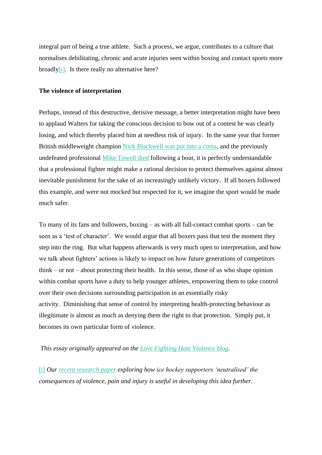integral part of being a true athlete. Such a process, we argue, contributes to a culture that normalises debilitating, chronic and acute injuries seen within boxing and contact sports more broadly $[i]$ . Is there really no alternative here?

#### **The violence of interpretation**

Perhaps, instead of this destructive, derisive message, a better interpretation might have been to applaud Walters for taking the conscious decision to bow out of a contest he was clearly losing, and which thereby placed him at needless risk of injury. In the same year that former British middleweight champion [Nick Blackwell was put into a coma,](http://edition.cnn.com/2016/04/19/sport/boxer-nick-blackwell-retires/) and the previously undefeated professional [Mike Towell died](http://www.bbc.co.uk/news/uk-scotland-37526636) following a bout, it is perfectly understandable that a professional fighter might make a rational decision to protect themselves against almost inevitable punishment for the sake of an increasingly unlikely victory. If all boxers followed this example, and were not mocked but respected for it, we imagine the sport would be made much safer.

To many of its fans and followers, boxing – as with all full-contact combat sports – can be seen as a 'test of character'. We would argue that all boxers pass that test the moment they step into the ring. But what happens afterwards is very much open to interpretation, and how we talk about fighters' actions is likely to impact on how future generations of competitors think – or not – about protecting their health. In this sense, those of us who shape opinion within combat sports have a duty to help younger athletes, empowering them to take control over their own decisions surrounding participation in an essentially risky activity. Diminishing that sense of control by interpreting health-protecting behaviour as illegitimate is almost as much as denying them the right to that protection. Simply put, it becomes its own particular form of violence.

*This essay originally appeared on the [Love Fighting Hate Violence blog.](http://www.lfhv.org/blog)*

[\[i\]](http://lfhv.org/2016/11/30/nicholas-walters-boxing-and-quitting-a-case-of-the-violence-of-interpretation/#_ednref1) *Our [recent research paper](https://www.academia.edu/26830957/_It_s_Only_Sport_The_Symbolic_Neutralisation_of_Violence_) exploring how ice hockey supporters 'neutralised' the consequences of violence, pain and injury is useful in developing this idea further.*